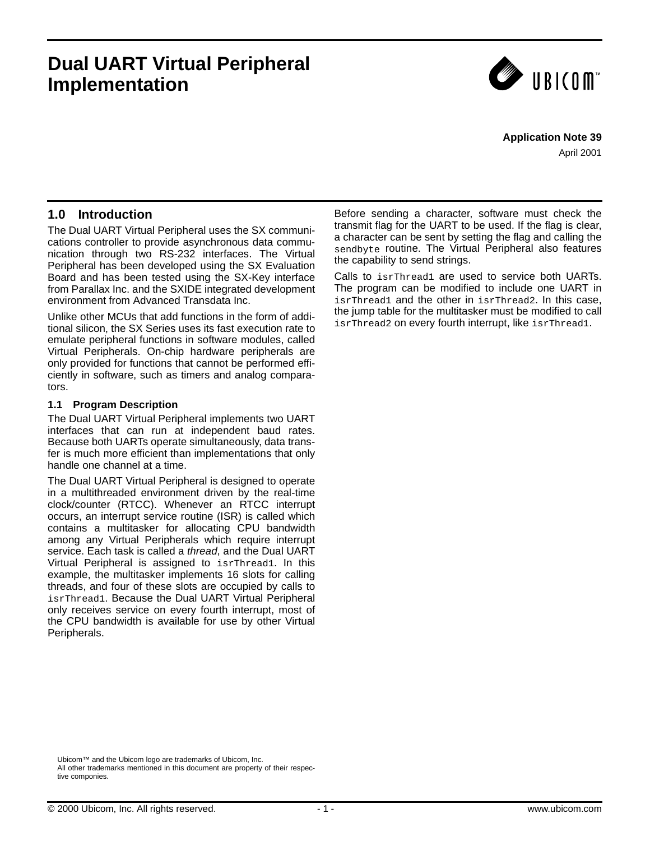# **Dual UART Virtual Peripheral Implementation**



#### **Application Note 39**

April 2001

### **1.0 Introduction**

The Dual UART Virtual Peripheral uses the SX communications controller to provide asynchronous data communication through two RS-232 interfaces. The Virtual Peripheral has been developed using the SX Evaluation Board and has been tested using the SX-Key interface from Parallax Inc. and the SXIDE integrated development environment from Advanced Transdata Inc.

Unlike other MCUs that add functions in the form of additional silicon, the SX Series uses its fast execution rate to emulate peripheral functions in software modules, called Virtual Peripherals. On-chip hardware peripherals are only provided for functions that cannot be performed efficiently in software, such as timers and analog comparators.

#### **1.1 Program Description**

The Dual UART Virtual Peripheral implements two UART interfaces that can run at independent baud rates. Because both UARTs operate simultaneously, data transfer is much more efficient than implementations that only handle one channel at a time.

The Dual UART Virtual Peripheral is designed to operate in a multithreaded environment driven by the real-time clock/counter (RTCC). Whenever an RTCC interrupt occurs, an interrupt service routine (ISR) is called which contains a multitasker for allocating CPU bandwidth among any Virtual Peripherals which require interrupt service. Each task is called a *thread*, and the Dual UART Virtual Peripheral is assigned to isrThread1. In this example, the multitasker implements 16 slots for calling threads, and four of these slots are occupied by calls to isrThread1. Because the Dual UART Virtual Peripheral only receives service on every fourth interrupt, most of the CPU bandwidth is available for use by other Virtual Peripherals.

Before sending a character, software must check the transmit flag for the UART to be used. If the flag is clear, a character can be sent by setting the flag and calling the sendbyte routine. The Virtual Peripheral also features the capability to send strings.

Calls to isrThread1 are used to service both UARTs. The program can be modified to include one UART in isrThread1 and the other in isrThread2. In this case, the jump table for the multitasker must be modified to call isrThread2 on every fourth interrupt, like isrThread1.

Ubicom™ and the Ubicom logo are trademarks of Ubicom, Inc. All other trademarks mentioned in this document are property of their respective componies.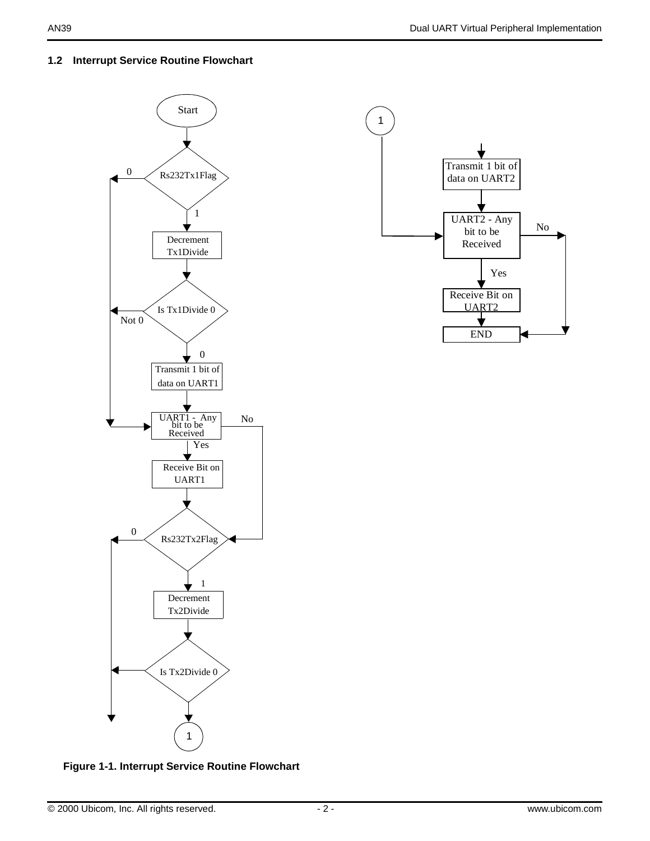### **1.2 Interrupt Service Routine Flowchart**





**Figure 1-1. Interrupt Service Routine Flowchart**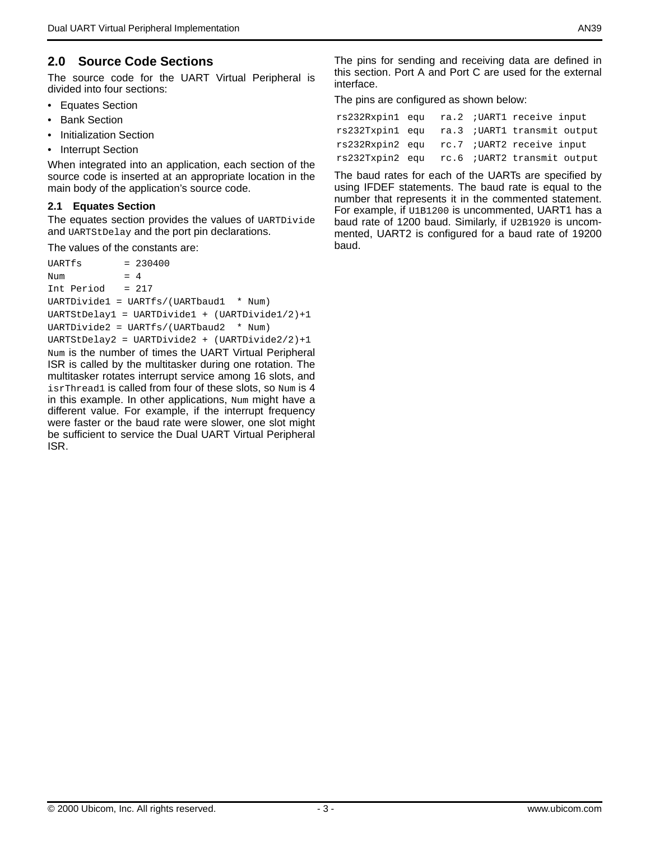### **2.0 Source Code Sections**

The source code for the UART Virtual Peripheral is divided into four sections:

- Equates Section
- Bank Section
- Initialization Section
- Interrupt Section

When integrated into an application, each section of the source code is inserted at an appropriate location in the main body of the application's source code.

#### **2.1 Equates Section**

The equates section provides the values of UARTDivide and UARTStDelay and the port pin declarations.

The values of the constants are:

 $UARTfs$  =  $230400$ Num  $= 4$ Int Period = 217 UARTDivide1 = UARTfs/(UARTbaud1 \* Num) UARTStDelay1 = UARTDivide1 + (UARTDivide1/2)+1 UARTDivide2 = UARTfs/(UARTbaud2 \* Num) UARTStDelay2 = UARTDivide2 + (UARTDivide2/2)+1 Num is the number of times the UART Virtual Peripheral ISR is called by the multitasker during one rotation. The multitasker rotates interrupt service among 16 slots, and isrThread1 is called from four of these slots, so Num is 4 in this example. In other applications, Num might have a different value. For example, if the interrupt frequency were faster or the baud rate were slower, one slot might be sufficient to service the Dual UART Virtual Peripheral ISR.

The pins for sending and receiving data are defined in this section. Port A and Port C are used for the external interface.

The pins are configured as shown below:

|  |  | rs232Rxpin1 equ ra.2 ; UART1 receive input   |
|--|--|----------------------------------------------|
|  |  | rs232Txpin1 equ ra.3 ; UART1 transmit output |
|  |  | rs232Rxpin2 equ rc.7 ; UART2 receive input   |
|  |  | rs232Txpin2 equ rc.6 ; UART2 transmit output |

The baud rates for each of the UARTs are specified by using IFDEF statements. The baud rate is equal to the number that represents it in the commented statement. For example, if  $U1B1200$  is uncommented, UART1 has a baud rate of 1200 baud. Similarly, if U2B1920 is uncommented, UART2 is configured for a baud rate of 19200 baud.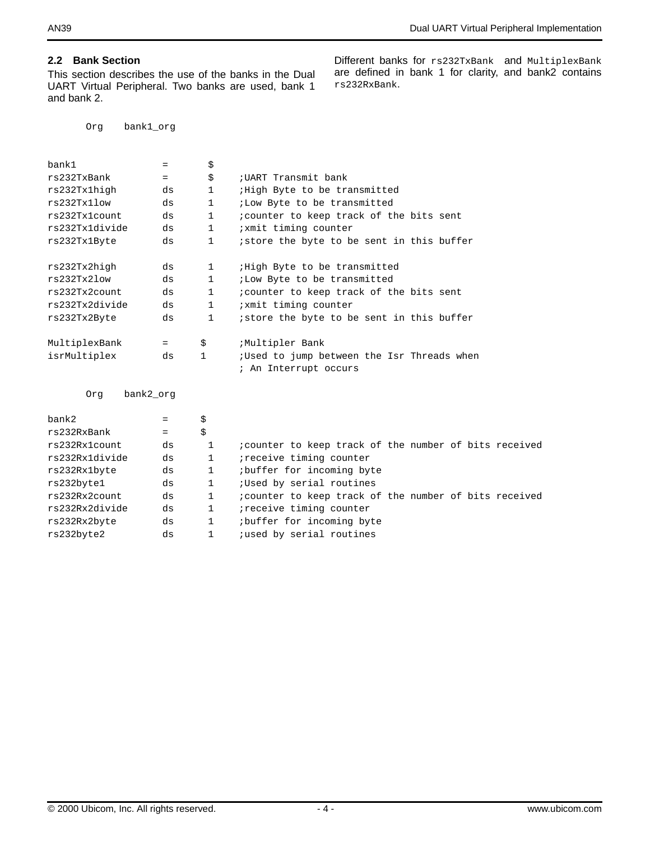### **2.2 Bank Section**

This section describes the use of the banks in the Dual UART Virtual Peripheral. Two banks are used, bank 1 and bank 2.

Org bank1\_org

| Different banks for rs232TxBank and MultiplexBank     |  |
|-------------------------------------------------------|--|
| are defined in bank 1 for clarity, and bank2 contains |  |
| rs232RxBank.                                          |  |

| bank1          | $=$       | \$           |                                            |
|----------------|-----------|--------------|--------------------------------------------|
| rs232TxBank    | $=$       | \$           | ; UART Transmit bank                       |
| rs232Tx1high   | ds        | $\mathbf{1}$ | <i>High</i> Byte to be transmitted         |
| rs232Tx11ow    | ds        | $\mathbf{1}$ | <i>i</i> Low Byte to be transmitted        |
| rs232Tx1count  | ds        | $\mathbf{1}$ | icounter to keep track of the bits sent    |
| rs232Tx1divide | ds        | $\mathbf{1}$ | <i>ixmit</i> timing counter                |
| rs232Tx1Byte   | ds        | $\mathbf{1}$ | istore the byte to be sent in this buffer  |
|                |           |              |                                            |
| rs232Tx2high   | ds        | 1            | High Byte to be transmitted                |
| rs232Tx2low    | ds        | $\mathbf{1}$ | <i>i</i> Low Byte to be transmitted        |
| rs232Tx2count  | ds        | $\mathbf{1}$ | icounter to keep track of the bits sent    |
| rs232Tx2divide | ds        | $\mathbf{1}$ | <i>ixmit</i> timing counter                |
| rs232Tx2Byte   | ds        | $\mathbf{1}$ | istore the byte to be sent in this buffer  |
| MultiplexBank  | $=$       | \$           | ;Multipler Bank                            |
|                |           |              |                                            |
| isrMultiplex   | ds        | 1            | ;Used to jump between the Isr Threads when |
|                |           |              | ; An Interrupt occurs                      |
| Orq            | bank2 org |              |                                            |
|                |           |              |                                            |

| bank2          | $=$ | \$           |                                                        |
|----------------|-----|--------------|--------------------------------------------------------|
| rs232RxBank    | $=$ | \$           |                                                        |
| rs232Rx1count  | ds  |              | icounter to keep track of the number of bits received  |
| rs232Rx1divide | ds  | 1            | <i>i</i> receive timing counter                        |
| rs232Rx1byte   | ds  |              | buffer for incoming byte                               |
| rs232byte1     | ds  | $\mathbf{1}$ | ;Used by serial routines                               |
| rs232Rx2count  | ds  | $\mathbf{1}$ | ; counter to keep track of the number of bits received |
| rs232Rx2divide | ds  | 1            | ireceive timing counter                                |
| rs232Rx2byte   | ds  |              | ibuffer for incoming byte                              |
| rs232byte2     | ds  | 1            | <i>i</i> used by serial routines                       |
|                |     |              |                                                        |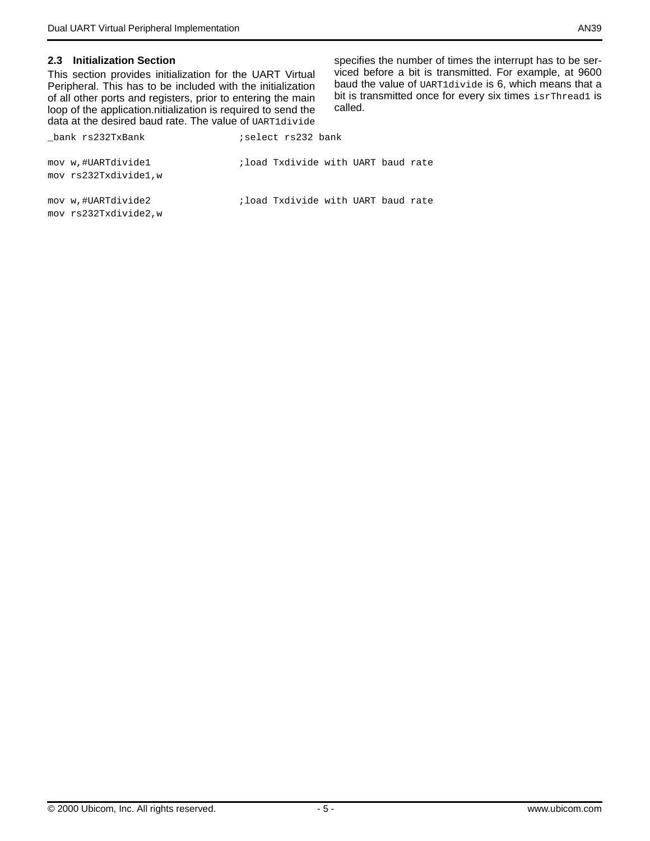#### **2.3 Initialization Section**

This section provides initialization for the UART Virtual Peripheral. This has to be included with the initialization of all other ports and registers, prior to entering the main loop of the application.nitialization is required to send the data at the desired baud rate. The value of UART1divide

bank rs232TxBank ;select rs232 bank

specifies the number of times the interrupt has to be serviced before a bit is transmitted. For example, at 9600 baud the value of UART1divide is 6, which means that a bit is transmitted once for every six times isrThread1 is called.

| mov w,#UARTdivide1<br>mov rs232Txdivide1,w | ; load Txdivide with UART baud rate |  |  |  |
|--------------------------------------------|-------------------------------------|--|--|--|
| mov w,#UARTdivide2<br>mov rs232Txdivide2.w | ; load Txdivide with UART baud rate |  |  |  |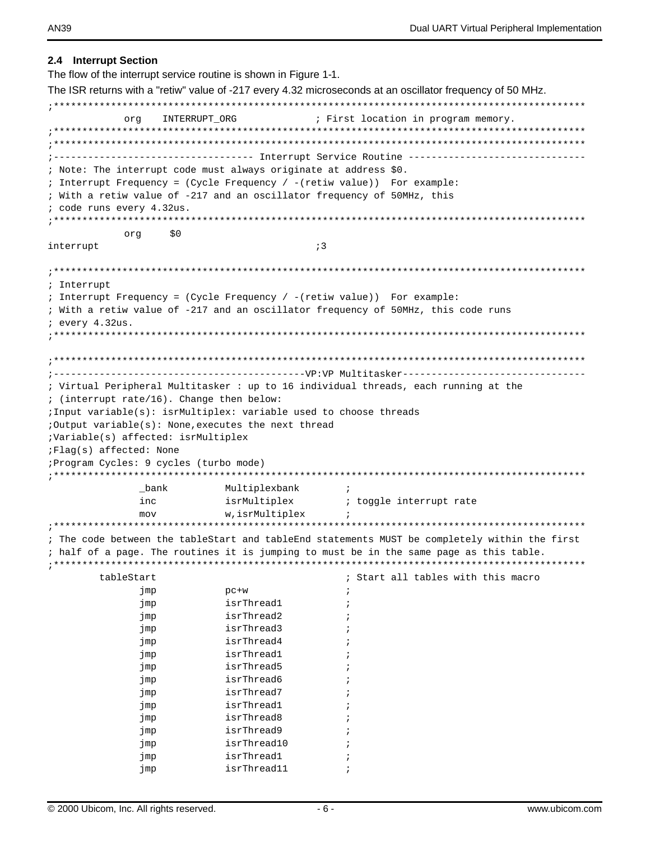#### 2.4 Interrupt Section The flow of the interrupt service routine is shown in Figure 1-1. The ISR returns with a "retiw" value of -217 every 4.32 microseconds at an oscillator frequency of 50 MHz. INTERRUPT ORG ; First location in program memory. orq ; --------------------------------- Interrupt Service Routine ----------------------; Note: The interrupt code must always originate at address \$0. ; Interrupt Frequency = (Cycle Frequency / - (retiw value)) For example: ; With a retiw value of -217 and an oscillator frequency of 50MHz, this ; code runs every 4.32us.  $50$ ora  $\mathfrak{z}$  3 interrupt ; Interrupt ; Interrupt Frequency = (Cycle Frequency / - (retiw value)) For example: ; With a retiw value of -217 and an oscillator frequency of 50MHz, this code runs ; every 4.32us. ; Virtual Peripheral Multitasker : up to 16 individual threads, each running at the ; (interrupt rate/16). Change then below: ; Input variable(s): isrMultiplex: variable used to choose threads :Output variable(s): None, executes the next thread ;Variable(s) affected: isrMultiplex ;Flag(s) affected: None ; Program Cycles: 9 cycles (turbo mode) \*\*\*\*\*\*\*\*\*\*\*\*\*\*\* \_bank Multiplexbank  $\cdot$ : inc isrMultiplex ; toggle interrupt rate  $mov$ w, isrMultiplex ; The code between the tableStart and tableEnd statements MUST be completely within the first ; half of a page. The routines it is jumping to must be in the same page as this table. tableStart ; Start all tables with this macro jmp  $pc+w$  $\ddot{\phantom{0}}$ isrThread1  $\cdot$ imp jmp isrThread2  $\cdot$ isrThread3  $\cdot$ imp isrThread4 imp  $\cdot$ isrThread1 imp  $\cdot$ isrThread5 jmp isrThread6 jmp  $\ddot{\phantom{0}}$ isrThread7 jmp  $\cdot$ isrThread1 jmp  $\cdot$ isrThread8 imp  $\cdot$ isrThread9 jmp  $\ddot{\phantom{0}}$ imp isrThread10  $\cdot$ isrThread1 jmp  $\cdot$ isrThread11  $\cdot$ imp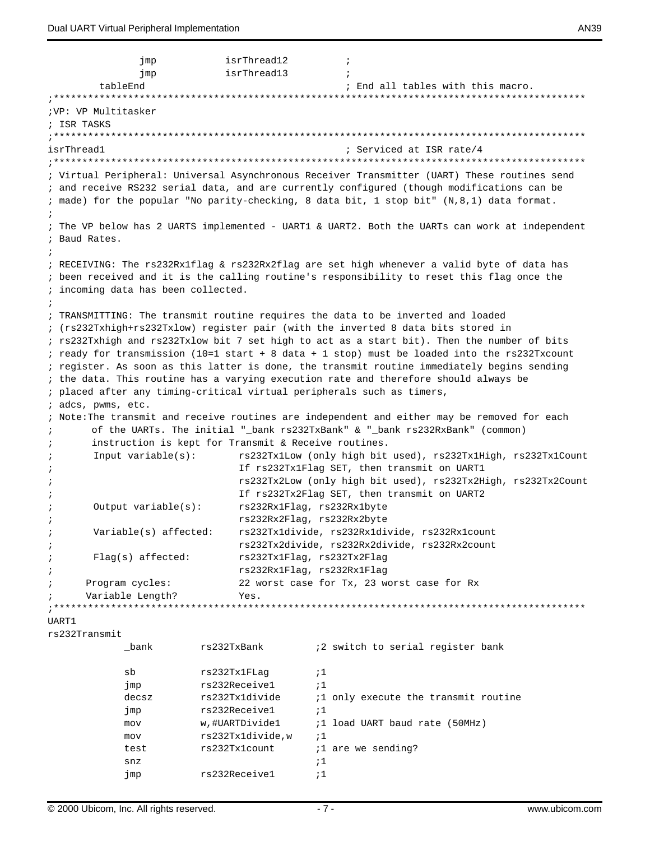```
isrThread12
               jmp
                                                 \ddot{i}isrThread13
               jmp
                                                \cdottableEnd
                                                 ; End all tables with this macro.
:**************
                      *****************************
; VP: VP Multitasker
; ISR TASKS
isrThread1
                                                ; Serviced at ISR rate/4
; Virtual Peripheral: Universal Asynchronous Receiver Transmitter (UART) These routines send
; and receive RS232 serial data, and are currently configured (though modifications can be
; made) for the popular "No parity-checking, 8 data bit, 1 stop bit" (N, 8, 1) data format.
; The VP below has 2 UARTS implemented - UART1 & UART2. Both the UARTs can work at independent
; Baud Rates.
; RECEIVING: The rs232Rx1flag & rs232Rx2flag are set high whenever a valid byte of data has
; been received and it is the calling routine's responsibility to reset this flag once the
; incoming data has been collected.
; TRANSMITTING: The transmit routine requires the data to be inverted and loaded
; (rs232Txhigh+rs232Txlow) register pair (with the inverted 8 data bits stored in
; rs232Txhigh and rs232Txlow bit 7 set high to act as a start bit). Then the number of bits
; ready for transmission (10=1 start + 8 data + 1 stop) must be loaded into the rs232Txcount
; register. As soon as this latter is done, the transmit routine immediately begins sending
; the data. This routine has a varying execution rate and therefore should always be
; placed after any timing-critical virtual peripherals such as timers,
; adcs, pwms, etc.
; Note: The transmit and receive routines are independent and either may be removed for each
       of the UARTs. The initial "_bank rs232TxBank" & "_bank rs232RxBank" (common)
\cdotinstruction is kept for Transmit & Receive routines.
\cdotrs232Tx1Low (only high bit used), rs232Tx1High, rs232Tx1Count
\cdotInput variable(s):\cdotIf rs232Tx1Flag SET, then transmit on UART1
                               rs232Tx2Low (only high bit used), rs232Tx2High, rs232Tx2Count
\cdotIf rs232Tx2Flag SET, then transmit on UART2
\cdotOutput variable(s):
                               rs232Rx1Flag, rs232Rx1byte
\cdotrs232Rx2Flag, rs232Rx2byte
\cdot\cdotVariable(s) affected:
                               rs232Tx1divide, rs232Rx1divide, rs232Rx1count
                               rs232Tx2divide, rs232Rx2divide, rs232Rx2count
\cdot\cdotFlag(s) affected:
                              rs232Tx1Flaq, rs232Tx2Flaq
                               rs232Rx1Flag, rs232Rx1Flag
\cdotProgram cycles:
                               22 worst case for Tx, 23 worst case for Rx
\cdot\cdotVariable Length?
                               Yes.
IJART1
rs232Transmit
            bank
                        rs232TxBank
                                           :2 switch to serial register bank
            {\tt sb}rs232Tx1FLag
                                           ;1rs232Receive1
            jmp
                                           ;1
            decsz
                        rs232Tx1divide
                                           i1 only execute the transmit routine
                                           \cdot : 1
            jmp
                        rs232Receivel
            mov
                        w,#UARTDivide1
                                           ;1 load UART baud rate (50MHz)
            mov
                        rs232Tx1divide,w
                                           \cdot \cdot 1
                        rs232Tx1count
            test
                                           i1 are we sending?
            snz;1imp
                        rs232Receivel
                                           \cdot 1
```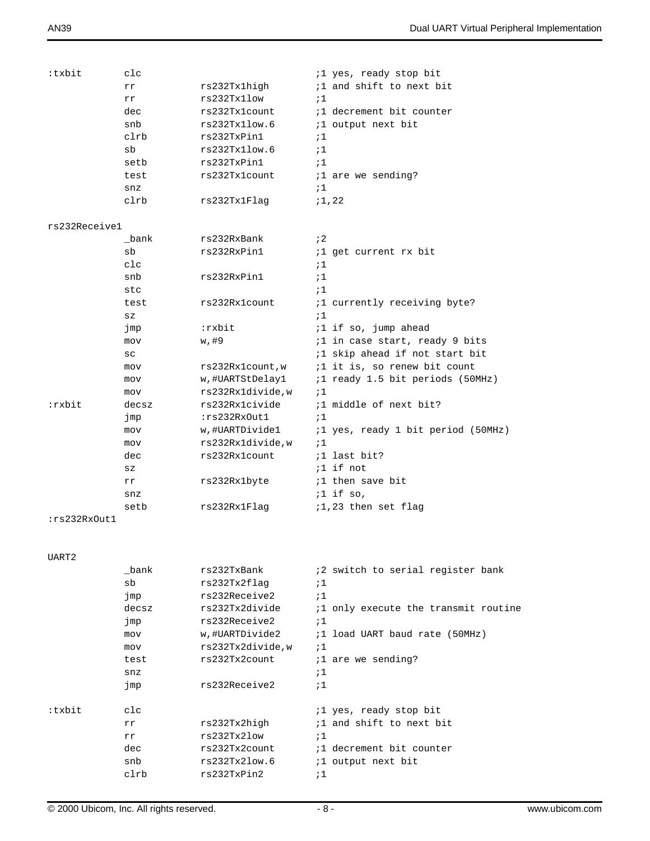| :txbit        | clc             |                   | <i>il</i> yes, ready stop bit                |
|---------------|-----------------|-------------------|----------------------------------------------|
|               | rr              | rs232Tx1high      | <i>i</i> 1 and shift to next bit             |
|               | rr              | rs232Tx11ow       | $\frac{1}{2}$                                |
|               | dec             | rs232Tx1count     | <i>i</i> 1 decrement bit counter             |
|               | snb             | rs232Tx1low.6     | <i>i</i> 1 output next bit                   |
|               | clrb            | rs232TxPin1       | ;1                                           |
|               | sb              | rs232Tx1low.6     | $\frac{1}{2}$                                |
|               | setb            | rs232TxPin1       | $\frac{1}{2}$                                |
|               | test            | rs232Tx1count     | <i>i</i> 1 are we sending?                   |
|               | snz             |                   | ;1                                           |
|               | clrb            | rs232Tx1Flaq      | ;1,22                                        |
|               |                 |                   |                                              |
| rs232Receive1 |                 |                   |                                              |
|               | bank            | rs232RxBank       | $\mathbf{i}$ 2                               |
|               | sb              | rs232RxPin1       | <i>i</i> 1 get current rx bit                |
|               | $_{\text{clc}}$ |                   | ;1                                           |
|               | snb             | rs232RxPin1       | $\frac{1}{2}$                                |
|               | stc             |                   | $\frac{1}{2}$                                |
|               | test            | rs232Rx1count     | <i>i</i> 1 currently receiving byte?         |
|               |                 |                   | $\frac{1}{2}$                                |
|               | $_{\rm SZ}$     |                   |                                              |
|               | jmp             | :rxbit            | $:1$ if so, jump ahead                       |
|               | mov             | w,#9              | <i>il</i> in case start, ready 9 bits        |
|               | SC              |                   | <i>i</i> 1 skip ahead if not start bit       |
|               | mov             | rs232Rx1count,w   | <i>i</i> 1 it is, so renew bit count         |
|               | mov             | w,#UARTStDelay1   | <i>i</i> 1 ready 1.5 bit periods (50MHz)     |
|               | mov             | rs232Rx1divide,w  | $\frac{1}{2}$                                |
| :rxbit        | decsz           | rs232Rx1civide    | <i>i</i> 1 middle of next bit?               |
|               | jmp             | :rs232RxOut1      | $\frac{1}{2}$                                |
|               | mov             | w,#UARTDivide1    | <i>i</i> 1 yes, ready 1 bit period (50MHz)   |
|               | mov             | rs232Rx1divide,w  | $\frac{1}{2}$                                |
|               | dec             | rs232Rx1count     | <i>i</i> 1 last bit?                         |
|               | $_{\rm SZ}$     |                   | $:1$ if not                                  |
|               | rr              | rs232Rx1byte      | <i>i</i> 1 then save bit                     |
|               | snz             |                   | $:1$ if so,                                  |
|               | setb            | rs232Rx1Flag      | ;1,23 then set flag                          |
| :rs232RxOut1  |                 |                   |                                              |
|               |                 |                   |                                              |
|               |                 |                   |                                              |
| UART2         |                 |                   |                                              |
|               | bank            | rs232TxBank       | <i>i</i> 2 switch to serial register bank    |
|               | sb              | rs232Tx2flaq      | $\frac{1}{2}$                                |
|               | jmp             | rs232Receive2     | :1                                           |
|               | decsz           | rs232Tx2divide    | <i>i</i> 1 only execute the transmit routine |
|               | jmp             | rs232Receive2     | $\frac{1}{2}$                                |
|               | mov             | w,#UARTDivide2    | ;1 load UART baud rate (50MHz)               |
|               | mov             | rs232Tx2divide, w | $\frac{1}{2}$                                |
|               | test            | rs232Tx2count     | <i>i</i> 1 are we sending?                   |
|               | snz             |                   | ;1                                           |
|               | jmp             | rs232Receive2     | :1                                           |
|               |                 |                   |                                              |
| :txbit        | $_{\text{clc}}$ |                   | <i>i</i> 1 yes, ready stop bit               |
|               | rr              | rs232Tx2high      | <i>i</i> 1 and shift to next bit             |
|               | rr              | rs232Tx2low       | $\frac{1}{2}$                                |
|               | dec             | rs232Tx2count     | <i>i</i> 1 decrement bit counter             |
|               | snb             | rs232Tx2low.6     | <i>i</i> 1 output next bit                   |
|               | clrb            | rs232TxPin2       | ;1                                           |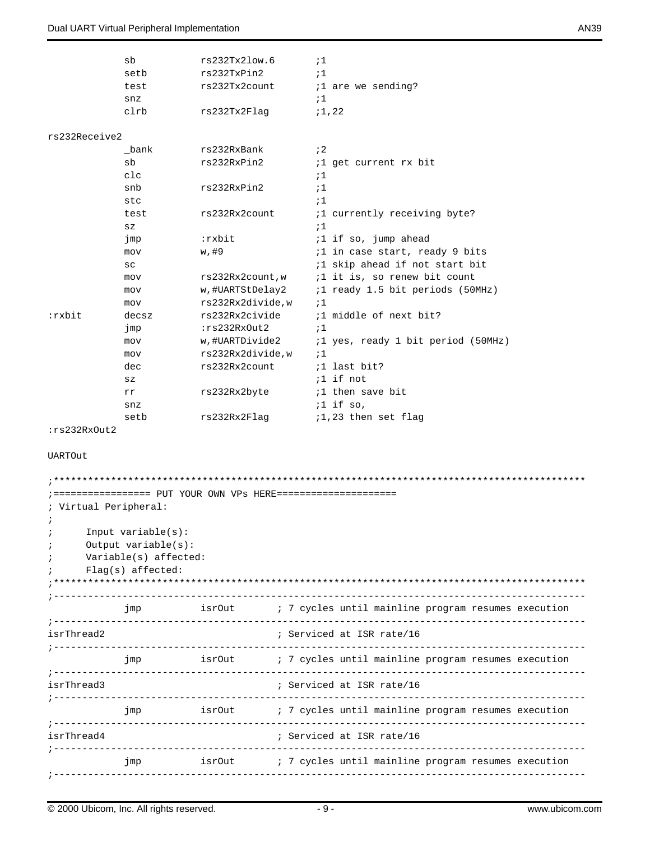#### Dual UART Virtual Peripheral Implementation AN39

|               | sb    | rs232Tx2low.6    | $\frac{1}{2}$                            |
|---------------|-------|------------------|------------------------------------------|
|               | setb  | rs232TxPin2      | $\frac{1}{2}$                            |
|               | test  | rs232Tx2count    | <i>i</i> 1 are we sending?               |
|               | snz   |                  | $\frac{1}{2}$                            |
|               | clrb  | rs232Tx2Flaq     | ;1,22                                    |
|               |       |                  |                                          |
| rs232Receive2 |       |                  |                                          |
|               | bank  | rs232RxBank      | $\mathbf{12}$                            |
|               | sb    | rs232RxPin2      | <i>i</i> 1 get current rx bit            |
|               | c1c   |                  | $\cdot$ 1                                |
|               | snb   | rs232RxPin2      | $\mathbf{1}$                             |
|               | stc   |                  | $\mathbf{1}$                             |
|               | test  | rs232Rx2count    | <i>i</i> 1 currently receiving byte?     |
|               | SZ    |                  | $\mathbf{1}$                             |
|               | jmp   | :rxbit           | $:1$ if so, jump ahead                   |
|               | mov   | w,#9             | <i>i</i> 1 in case start, ready 9 bits   |
|               | SC    |                  | <i>i</i> 1 skip ahead if not start bit   |
|               | mov   | rs232Rx2count,w  | <i>i</i> 1 it is, so renew bit count     |
|               | mov   | w,#UARTStDelay2  | <i>i</i> 1 ready 1.5 bit periods (50MHz) |
|               | mov   | rs232Rx2divide,w | $\cdot$ 1                                |
| :rxbit        | decsz | rs232Rx2civide   | ;1 middle of next bit?                   |
|               | jmp   | :rs232RxOut2     | $\mathbf{1}$                             |
|               | mov   | w,#UARTDivide2   | ;1 yes, ready 1 bit period (50MHz)       |
|               | mov   | rs232Rx2divide,w | $\cdot$ 1                                |
|               | dec   | rs232Rx2count    | <i>i</i> 1 last bit?                     |
|               | SZ    |                  | $:1$ if not                              |
|               | rr    | rs232Rx2byte     | <i>i</i> 1 then save bit                 |
|               | snz   |                  | $:1$ if so,                              |
|               | setb  | rs232Rx2Flaq     | ;1,23 then set flag                      |

:rs232RxOut2

UARTOut

|              |                           |  | ; ================= PUT YOUR OWN VPs HERE=====================                         |  |  |  |
|--------------|---------------------------|--|----------------------------------------------------------------------------------------|--|--|--|
|              | ; Virtual Peripheral:     |  |                                                                                        |  |  |  |
| $\ddot{i}$   |                           |  |                                                                                        |  |  |  |
| $\mathbf{r}$ | Input $variable(s)$ :     |  |                                                                                        |  |  |  |
| $\ddot{i}$   | $Output$ variable $(s)$ : |  |                                                                                        |  |  |  |
| $\ddot{i}$   | Variable(s) affected:     |  |                                                                                        |  |  |  |
|              | $Flag(s)$ affected:       |  |                                                                                        |  |  |  |
|              |                           |  |                                                                                        |  |  |  |
|              |                           |  |                                                                                        |  |  |  |
|              | jmp                       |  | isrOut (a) 7 cycles until mainline program resumes execution                           |  |  |  |
| isrThread2   |                           |  | ; Serviced at ISR rate/16                                                              |  |  |  |
|              |                           |  | jmp               isrOut           ; 7 cycles until mainline program resumes execution |  |  |  |
| isrThread3   |                           |  | ; Serviced at ISR rate/16                                                              |  |  |  |
|              | jmp                       |  | isrOut <i>i</i> 7 cycles until mainline program resumes execution                      |  |  |  |
| isrThread4   |                           |  | ; Serviced at ISR rate/16                                                              |  |  |  |
|              | jmp                       |  | isrOut : 7 cycles until mainline program resumes execution                             |  |  |  |
|              |                           |  |                                                                                        |  |  |  |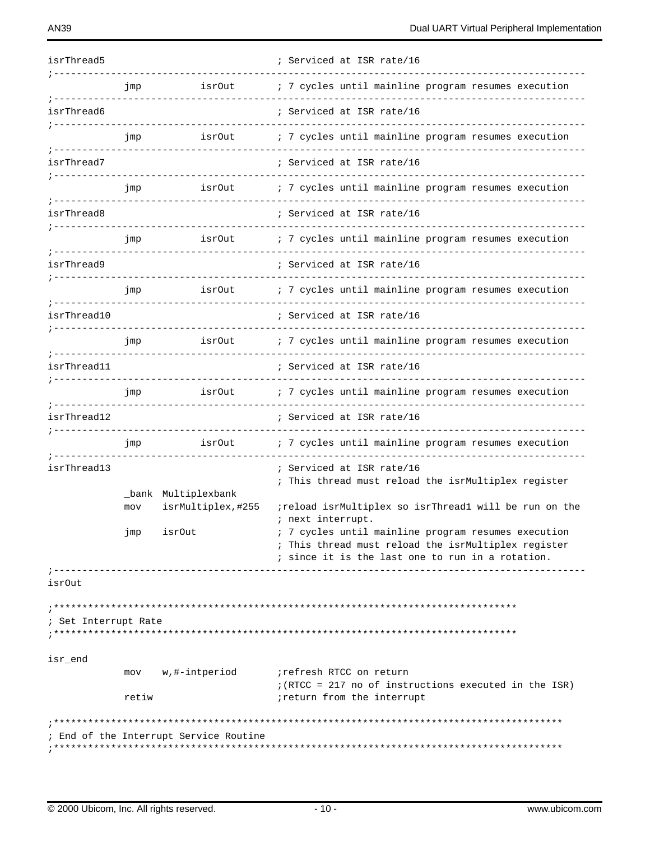| isrThread5                                                        |       |                                           | ; Serviced at ISR rate/16                                                                                                                                                           |
|-------------------------------------------------------------------|-------|-------------------------------------------|-------------------------------------------------------------------------------------------------------------------------------------------------------------------------------------|
|                                                                   | jmp   | isrOut<br>------------                    | ; 7 cycles until mainline program resumes execution                                                                                                                                 |
| isrThread6                                                        |       |                                           | ; Serviced at ISR rate/16                                                                                                                                                           |
| _______________                                                   | jmp   | isrOut                                    | ; 7 cycles until mainline program resumes execution                                                                                                                                 |
| isrThread7<br>---------------                                     |       |                                           | ; Serviced at ISR rate/16                                                                                                                                                           |
| ; ____________________                                            | jmp   | isrOut<br>----------------                | ; 7 cycles until mainline program resumes execution                                                                                                                                 |
| isrThread8<br>_______________________________                     |       |                                           | ; Serviced at ISR rate/16                                                                                                                                                           |
|                                                                   | jmp   | isr0ut<br>-----------------               | ; 7 cycles until mainline program resumes execution                                                                                                                                 |
| isrThread9<br>_______________________________                     |       |                                           | ; Serviced at ISR rate/16                                                                                                                                                           |
| ------------                                                      | jmp   | isrOut                                    | ; 7 cycles until mainline program resumes execution                                                                                                                                 |
| isrThread10                                                       |       |                                           | ; Serviced at ISR rate/16                                                                                                                                                           |
|                                                                   | jmp   | isr0ut                                    | ; 7 cycles until mainline program resumes execution                                                                                                                                 |
| --------------<br>isrThread11<br>________________________________ |       |                                           | ; Serviced at ISR rate/16                                                                                                                                                           |
|                                                                   | jmp   | isrOut<br>---------------                 | ; 7 cycles until mainline program resumes execution                                                                                                                                 |
| ----------<br>isrThread12                                         |       |                                           | ; Serviced at ISR rate/16                                                                                                                                                           |
|                                                                   | jmp   | isrOut                                    | ; 7 cycles until mainline program resumes execution                                                                                                                                 |
| isrThread13                                                       |       |                                           | ; Serviced at ISR rate/16                                                                                                                                                           |
|                                                                   | mov   | _bank Multiplexbank<br>isrMultiplex, #255 | ; This thread must reload the isrMultiplex register<br>; reload isrMultiplex so isrThread1 will be run on the                                                                       |
|                                                                   | Jmp   | <i>isrOut</i>                             | ; next interrupt.<br>: 7 cycles until mainline program resumes execution<br>; This thread must reload the isrMultiplex register<br>; since it is the last one to run in a rotation. |
| isrOut                                                            |       |                                           |                                                                                                                                                                                     |
| ; Set Interrupt Rate                                              |       |                                           |                                                                                                                                                                                     |
| isr_end                                                           |       |                                           |                                                                                                                                                                                     |
|                                                                   | retiw | mov w,#-intperiod                         | irefresh RTCC on return<br>$i$ (RTCC = 217 no of instructions executed in the ISR)<br>ireturn from the interrupt                                                                    |
|                                                                   |       |                                           |                                                                                                                                                                                     |
|                                                                   |       | ; End of the Interrupt Service Routine    |                                                                                                                                                                                     |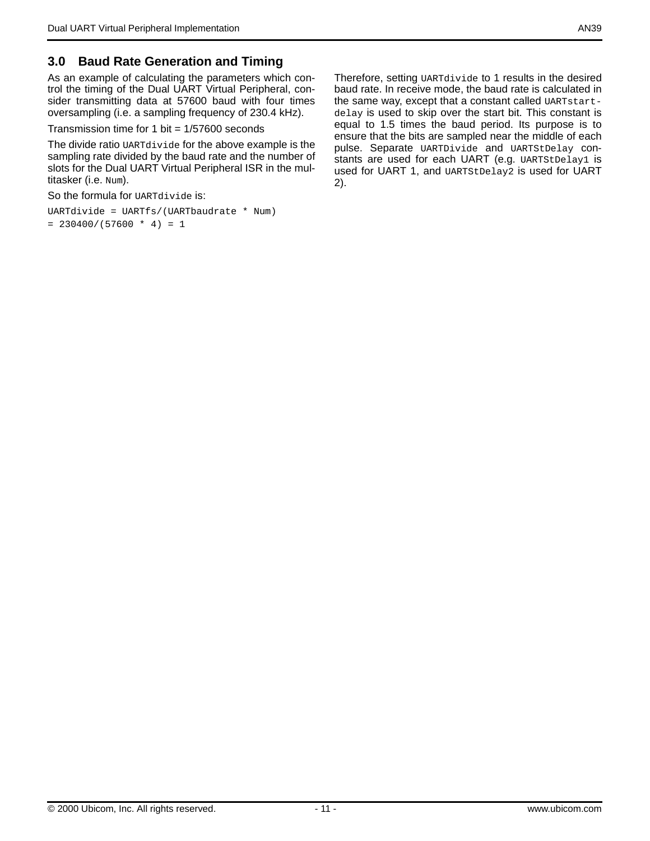### **3.0 Baud Rate Generation and Timing**

As an example of calculating the parameters which control the timing of the Dual UART Virtual Peripheral, consider transmitting data at 57600 baud with four times oversampling (i.e. a sampling frequency of 230.4 kHz).

Transmission time for 1 bit  $= 1/57600$  seconds

The divide ratio UARTdivide for the above example is the sampling rate divided by the baud rate and the number of slots for the Dual UART Virtual Peripheral ISR in the multitasker (i.e. Num).

So the formula for UARTdivide is:

```
UARTdivide = UARTfs/(UARTbaudrate * Num)
= 230400/(57600 * 4) = 1
```
Therefore, setting UARTdivide to 1 results in the desired baud rate. In receive mode, the baud rate is calculated in the same way, except that a constant called UARTstartdelay is used to skip over the start bit. This constant is equal to 1.5 times the baud period. Its purpose is to ensure that the bits are sampled near the middle of each pulse. Separate UARTDivide and UARTStDelay constants are used for each UART (e.g. UARTStDelay1 is used for UART 1, and UARTStDelay2 is used for UART 2).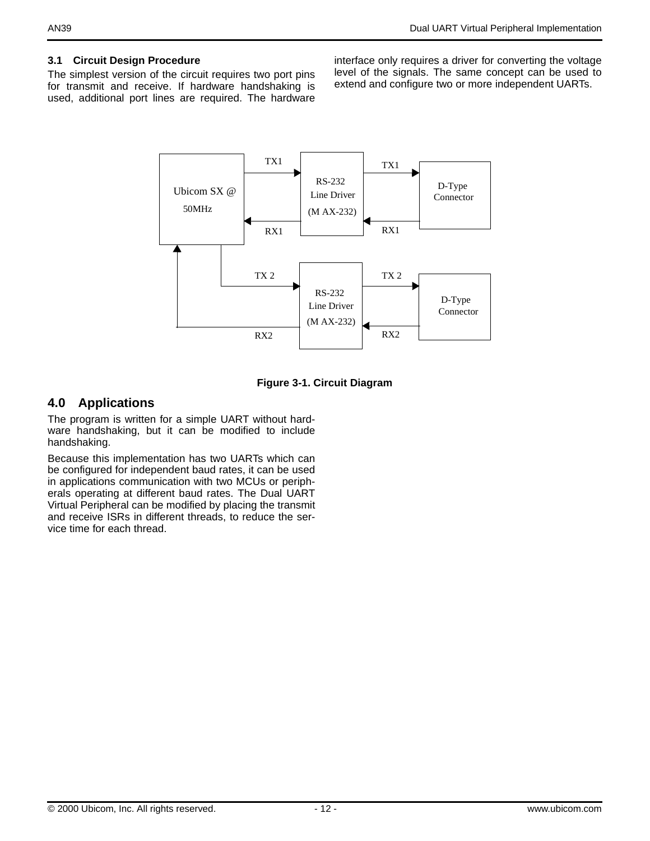#### **3.1 Circuit Design Procedure**

The simplest version of the circuit requires two port pins for transmit and receive. If hardware handshaking is used, additional port lines are required. The hardware interface only requires a driver for converting the voltage level of the signals. The same concept can be used to extend and configure two or more independent UARTs.





### **4.0 Applications**

The program is written for a simple UART without hardware handshaking, but it can be modified to include handshaking.

Because this implementation has two UARTs which can be configured for independent baud rates, it can be used in applications communication with two MCUs or peripherals operating at different baud rates. The Dual UART Virtual Peripheral can be modified by placing the transmit and receive ISRs in different threads, to reduce the service time for each thread.